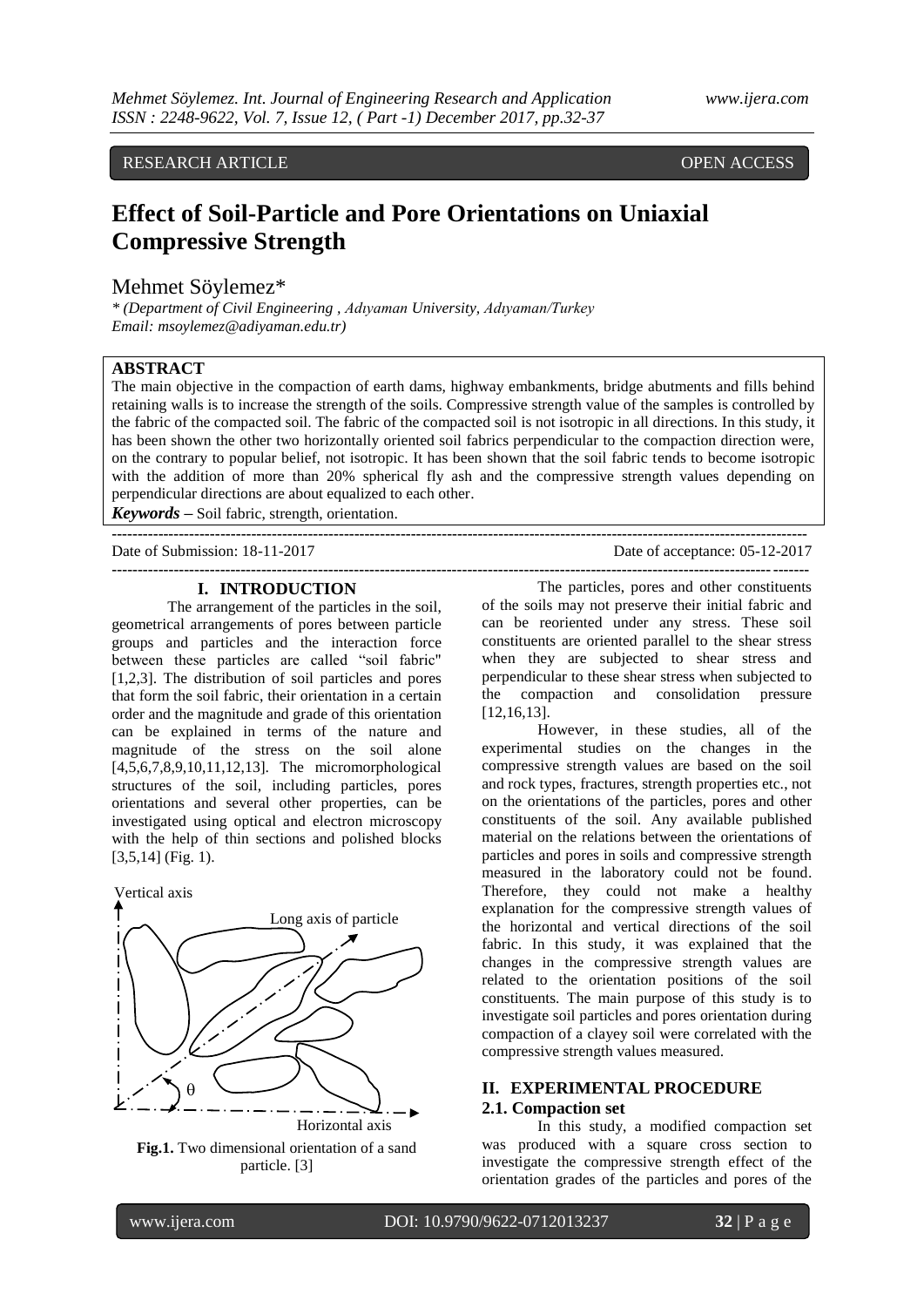RESEARCH ARTICLE **CONTRACT ARTICLE** AND LOTE OPEN ACCESS OPEN ACCESS

# **Effect of Soil-Particle and Pore Orientations on Uniaxial Compressive Strength**

Mehmet Söylemez\*

*\* (Department of Civil Engineering , Adıyaman University, Adıyaman/Turkey Email: msoylemez@adiyaman.edu.tr)*

# **ABSTRACT**

The main objective in the compaction of earth dams, highway embankments, bridge abutments and fills behind retaining walls is to increase the strength of the soils. Compressive strength value of the samples is controlled by the fabric of the compacted soil. The fabric of the compacted soil is not isotropic in all directions. In this study, it has been shown the other two horizontally oriented soil fabrics perpendicular to the compaction direction were, on the contrary to popular belief, not isotropic. It has been shown that the soil fabric tends to become isotropic with the addition of more than 20% spherical fly ash and the compressive strength values depending on perpendicular directions are about equalized to each other.

**---------------------------------------------------------------------------------------------------------------------------------------**

**---------------------------------------------------------------------------------------------------------------------------------------**

*Keywords* **–** Soil fabric, strength, orientation.

Date of Submission: 18-11-2017 Date of acceptance: 05-12-2017

# **I. INTRODUCTION**

The arrangement of the particles in the soil, geometrical arrangements of pores between particle groups and particles and the interaction force between these particles are called "soil fabric" [1,2,3]. The distribution of soil particles and pores that form the soil fabric, their orientation in a certain order and the magnitude and grade of this orientation can be explained in terms of the nature and magnitude of the stress on the soil alone [4,5,6,7,8,9,10,11,12,13]. The micromorphological structures of the soil, including particles, pores orientations and several other properties, can be investigated using optical and electron microscopy with the help of thin sections and polished blocks [3,5,14] (Fig. 1).





**Fig.1.** Two dimensional orientation of a sand particle. [3]

The particles, pores and other constituents of the soils may not preserve their initial fabric and can be reoriented under any stress. These soil constituents are oriented parallel to the shear stress when they are subjected to shear stress and perpendicular to these shear stress when subjected to the compaction and consolidation pressure [12,16,13].

However, in these studies, all of the experimental studies on the changes in the compressive strength values are based on the soil and rock types, fractures, strength properties etc., not on the orientations of the particles, pores and other constituents of the soil. Any available published material on the relations between the orientations of particles and pores in soils and compressive strength measured in the laboratory could not be found. Therefore, they could not make a healthy explanation for the compressive strength values of the horizontal and vertical directions of the soil fabric. In this study, it was explained that the changes in the compressive strength values are related to the orientation positions of the soil constituents. The main purpose of this study is to investigate soil particles and pores orientation during compaction of a clayey soil were correlated with the compressive strength values measured.

# **II. EXPERIMENTAL PROCEDURE 2.1. Compaction set**

In this study, a modified compaction set was produced with a square cross section to investigate the compressive strength effect of the orientation grades of the particles and pores of the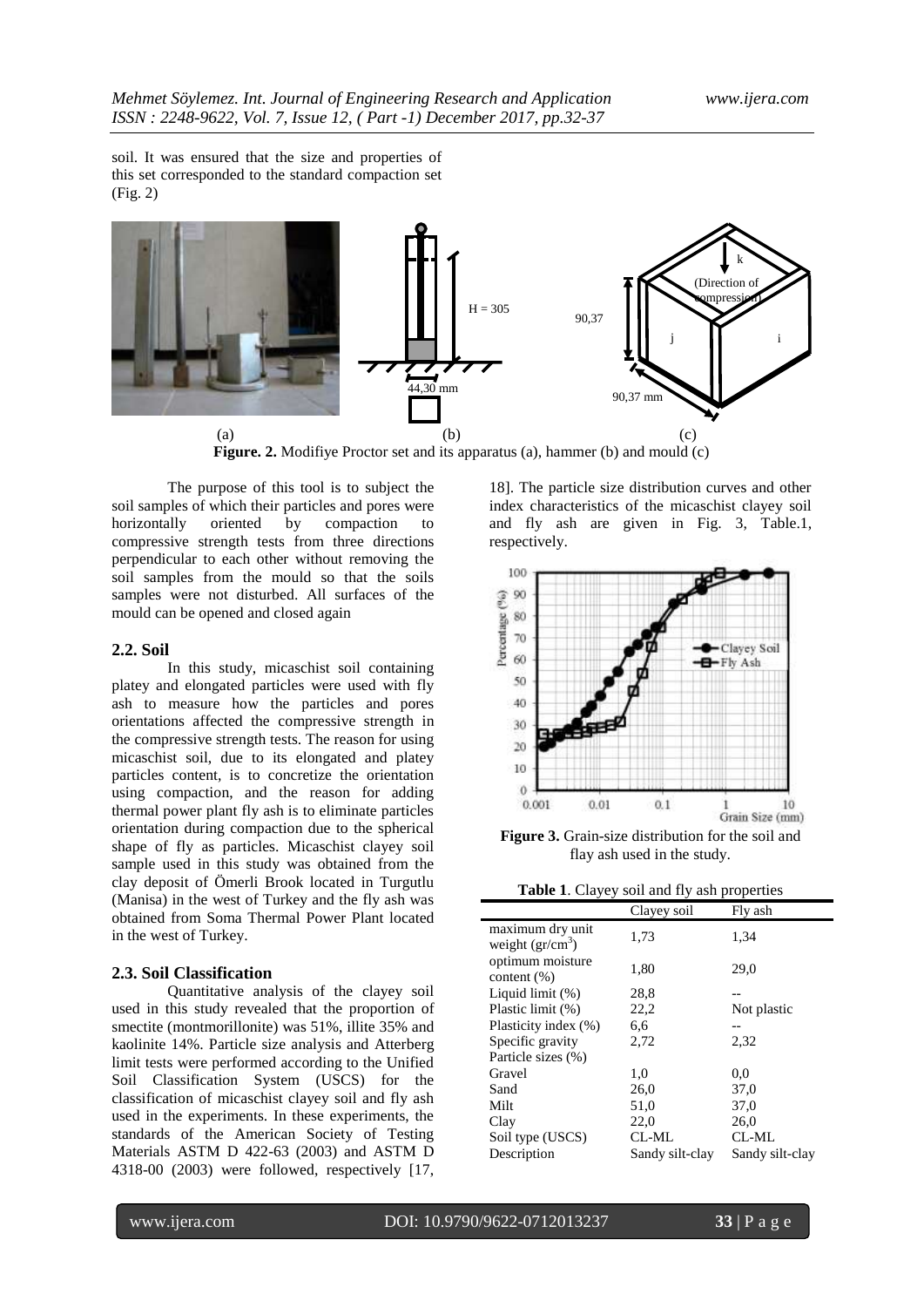soil. It was ensured that the size and properties of this set corresponded to the standard compaction set (Fig. 2)



**Figure. 2.** Modifiye Proctor set and its apparatus (a), hammer (b) and mould (c)

The purpose of this tool is to subject the soil samples of which their particles and pores were horizontally oriented by compaction to compressive strength tests from three directions perpendicular to each other without removing the soil samples from the mould so that the soils samples were not disturbed. All surfaces of the mould can be opened and closed again

#### **2.2. Soil**

In this study, micaschist soil containing platey and elongated particles were used with fly ash to measure how the particles and pores orientations affected the compressive strength in the compressive strength tests. The reason for using micaschist soil, due to its elongated and platey particles content, is to concretize the orientation using compaction, and the reason for adding thermal power plant fly ash is to eliminate particles orientation during compaction due to the spherical shape of fly as particles. Micaschist clayey soil sample used in this study was obtained from the clay deposit of Ömerli Brook located in Turgutlu (Manisa) in the west of Turkey and the fly ash was obtained from Soma Thermal Power Plant located in the west of Turkey.

#### **2.3. Soil Classification**

Quantitative analysis of the clayey soil used in this study revealed that the proportion of smectite (montmorillonite) was 51%, illite 35% and kaolinite 14%. Particle size analysis and Atterberg limit tests were performed according to the Unified Soil Classification System (USCS) for the classification of micaschist clayey soil and fly ash used in the experiments. In these experiments, the standards of the American Society of Testing Materials ASTM D 422-63 (2003) and ASTM D 4318-00 (2003) were followed, respectively [17, 18]. The particle size distribution curves and other index characteristics of the micaschist clayey soil and fly ash are given in Fig. 3, Table.1, respectively.



**Figure 3.** Grain-size distribution for the soil and flay ash used in the study.

| Table 1. Clayey soil and fly ash properties |  |  |  |
|---------------------------------------------|--|--|--|
|                                             |  |  |  |

|                                               | Clayey soil     | Fly ash         |
|-----------------------------------------------|-----------------|-----------------|
| maximum dry unit<br>weight $(g\text{r/cm}^3)$ | 1,73            | 1,34            |
| optimum moisture<br>content $(\%)$            | 1,80            | 29.0            |
| Liquid limit (%)                              | 28,8            |                 |
| Plastic limit (%)                             | 22,2            | Not plastic     |
| Plasticity index (%)                          | 6,6             |                 |
| Specific gravity                              | 2,72            | 2,32            |
| Particle sizes (%)                            |                 |                 |
| Gravel                                        | 1,0             | 0.0             |
| Sand                                          | 26,0            | 37,0            |
| Milt                                          | 51,0            | 37,0            |
| Clay                                          | 22,0            | 26,0            |
| Soil type (USCS)                              | CL-ML           | CL-ML           |
| Description                                   | Sandy silt-clay | Sandy silt-clay |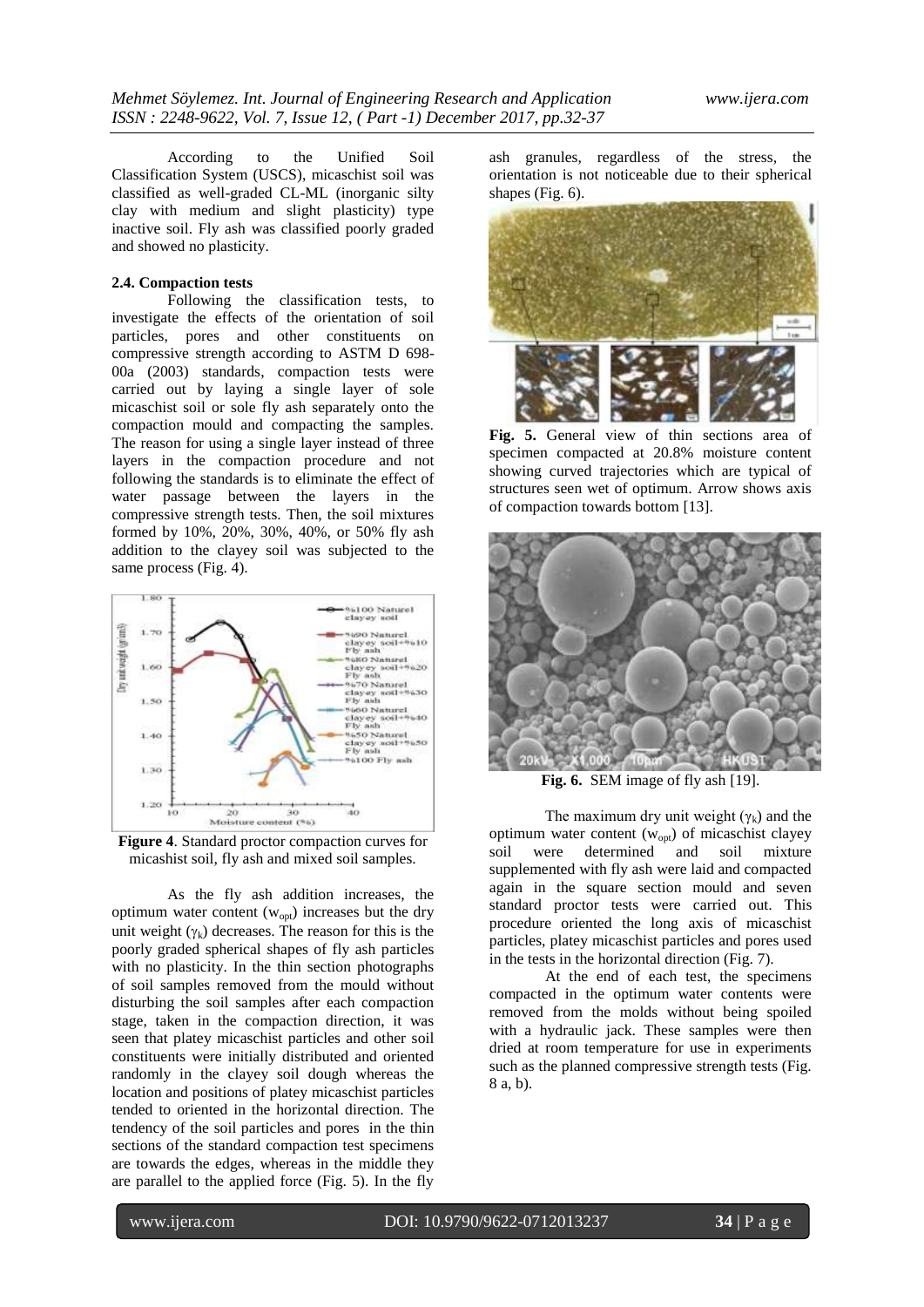According to the Unified Soil Classification System (USCS), micaschist soil was classified as well-graded CL-ML (inorganic silty clay with medium and slight plasticity) type inactive soil. Fly ash was classified poorly graded and showed no plasticity.

## **2.4. Compaction tests**

Following the classification tests, to investigate the effects of the orientation of soil particles, pores and other constituents on compressive strength according to ASTM D 698- 00a (2003) standards, compaction tests were carried out by laying a single layer of sole micaschist soil or sole fly ash separately onto the compaction mould and compacting the samples. The reason for using a single layer instead of three layers in the compaction procedure and not following the standards is to eliminate the effect of water passage between the layers in the compressive strength tests. Then, the soil mixtures formed by 10%, 20%, 30%, 40%, or 50% fly ash addition to the clayey soil was subjected to the same process (Fig. 4).



**Figure 4**. Standard proctor compaction curves for micashist soil, fly ash and mixed soil samples.

As the fly ash addition increases, the optimum water content  $(w_{opt})$  increases but the dry unit weight  $(\gamma_k)$  decreases. The reason for this is the poorly graded spherical shapes of fly ash particles with no plasticity. In the thin section photographs of soil samples removed from the mould without disturbing the soil samples after each compaction stage, taken in the compaction direction, it was seen that platey micaschist particles and other soil constituents were initially distributed and oriented randomly in the clayey soil dough whereas the location and positions of platey micaschist particles tended to oriented in the horizontal direction. The tendency of the soil particles and pores in the thin sections of the standard compaction test specimens are towards the edges, whereas in the middle they are parallel to the applied force (Fig. 5). In the fly

ash granules, regardless of the stress, the orientation is not noticeable due to their spherical shapes (Fig. 6).



**Fig. 5.** General view of thin sections area of specimen compacted at 20.8% moisture content showing curved trajectories which are typical of structures seen wet of optimum. Arrow shows axis of compaction towards bottom [13].



**Fig. 6.** SEM image of fly ash [19].

The maximum dry unit weight ( $\gamma_k$ ) and the optimum water content  $(w_{opt})$  of micaschist clayey soil were determined and soil mixture supplemented with fly ash were laid and compacted again in the square section mould and seven standard proctor tests were carried out. This procedure oriented the long axis of micaschist particles, platey micaschist particles and pores used in the tests in the horizontal direction (Fig. 7).

At the end of each test, the specimens compacted in the optimum water contents were removed from the molds without being spoiled with a hydraulic jack. These samples were then dried at room temperature for use in experiments such as the planned compressive strength tests (Fig. 8 a, b).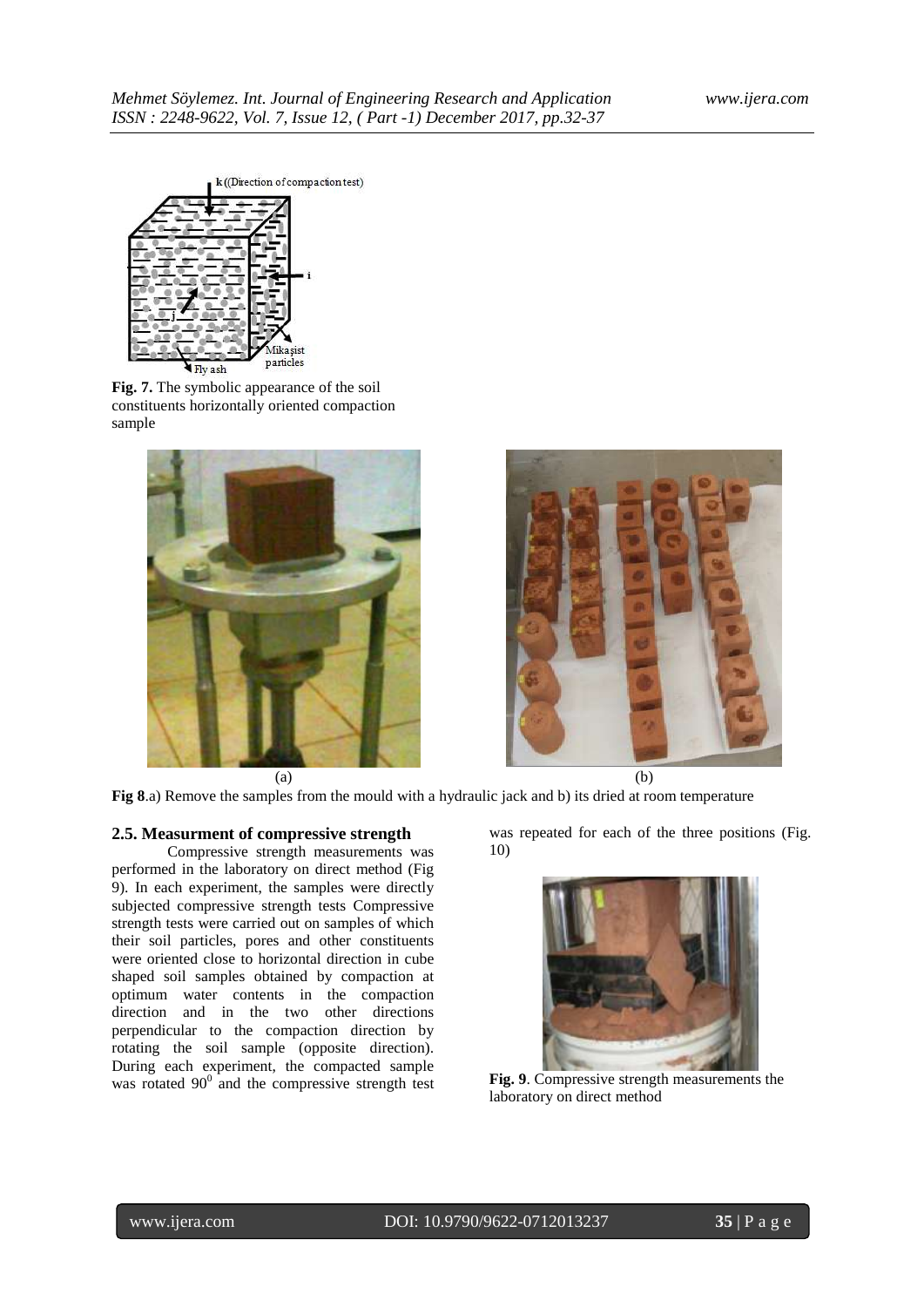

**Fig. 7.** The symbolic appearance of the soil constituents horizontally oriented compaction sample



 $(a)$  (b)



**Fig 8**.a) Remove the samples from the mould with a hydraulic jack and b) its dried at room temperature

# **2.5. Measurment of compressive strength**

Compressive strength measurements was performed in the laboratory on direct method (Fig 9). In each experiment, the samples were directly subjected compressive strength tests Compressive strength tests were carried out on samples of which their soil particles, pores and other constituents were oriented close to horizontal direction in cube shaped soil samples obtained by compaction at optimum water contents in the compaction direction and in the two other directions perpendicular to the compaction direction by rotating the soil sample (opposite direction). During each experiment, the compacted sample was rotated  $90^{\circ}$  and the compressive strength test was repeated for each of the three positions (Fig. 10)



**Fig. 9**. Compressive strength measurements the laboratory on direct method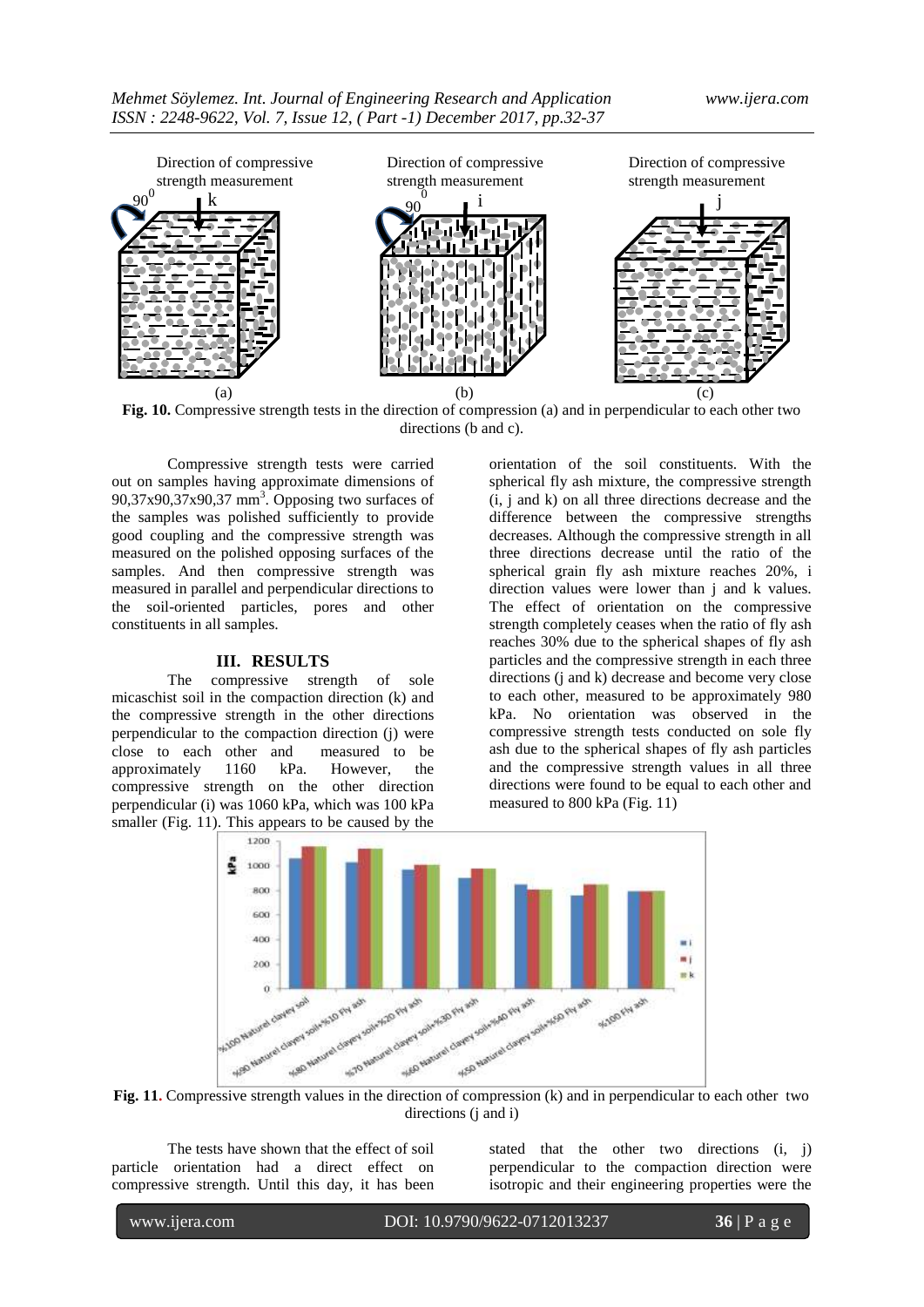

**Fig. 10.** Compressive strength tests in the direction of compression (a) and in perpendicular to each other two directions (b and c).

Compressive strength tests were carried out on samples having approximate dimensions of  $90,37x90,37x90,37$  mm<sup>3</sup>. Opposing two surfaces of the samples was polished sufficiently to provide good coupling and the compressive strength was measured on the polished opposing surfaces of the samples. And then compressive strength was measured in parallel and perpendicular directions to the soil-oriented particles, pores and other constituents in all samples.

## **III. RESULTS**

The compressive strength of sole micaschist soil in the compaction direction (k) and the compressive strength in the other directions perpendicular to the compaction direction (j) were close to each other and measured to be approximately 1160 kPa. However, the compressive strength on the other direction perpendicular (i) was 1060 kPa, which was 100 kPa smaller (Fig. 11). This appears to be caused by the

orientation of the soil constituents. With the spherical fly ash mixture, the compressive strength (i, j and k) on all three directions decrease and the difference between the compressive strengths decreases. Although the compressive strength in all three directions decrease until the ratio of the spherical grain fly ash mixture reaches 20%, i direction values were lower than j and k values. The effect of orientation on the compressive strength completely ceases when the ratio of fly ash reaches 30% due to the spherical shapes of fly ash particles and the compressive strength in each three directions (j and k) decrease and become very close to each other, measured to be approximately 980 kPa. No orientation was observed in the compressive strength tests conducted on sole fly ash due to the spherical shapes of fly ash particles and the compressive strength values in all three directions were found to be equal to each other and measured to 800 kPa (Fig. 11)



directions (j and i)

The tests have shown that the effect of soil particle orientation had a direct effect on compressive strength. Until this day, it has been stated that the other two directions (i, j) perpendicular to the compaction direction were isotropic and their engineering properties were the